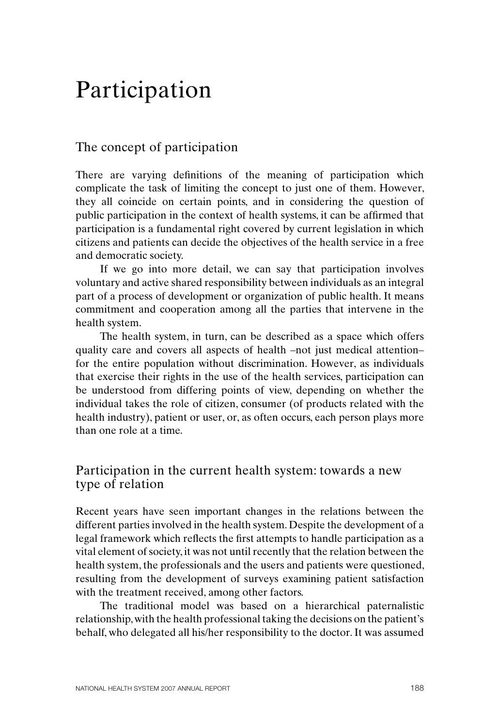# Participation

## The concept of participation

There are varying definitions of the meaning of participation which complicate the task of limiting the concept to just one of them. However, they all coincide on certain points, and in considering the question of public participation in the context of health systems, it can be affirmed that participation is a fundamental right covered by current legislation in which citizens and patients can decide the objectives of the health service in a free and democratic society.

If we go into more detail, we can say that participation involves voluntary and active shared responsibility between individuals as an integral part of a process of development or organization of public health. It means commitment and cooperation among all the parties that intervene in the health system.

The health system, in turn, can be described as a space which offers quality care and covers all aspects of health –not just medical attention– for the entire population without discrimination. However, as individuals that exercise their rights in the use of the health services, participation can be understood from differing points of view, depending on whether the individual takes the role of citizen, consumer (of products related with the health industry), patient or user, or, as often occurs, each person plays more than one role at a time.

#### Participation in the current health system: towards a new type of relation

Recent years have seen important changes in the relations between the different parties involved in the health system. Despite the development of a legal framework which reflects the first attempts to handle participation as a vital element of society, it was not until recently that the relation between the health system, the professionals and the users and patients were questioned, resulting from the development of surveys examining patient satisfaction with the treatment received, among other factors.

The traditional model was based on a hierarchical paternalistic relationship, with the health professional taking the decisions on the patient's behalf, who delegated all his/her responsibility to the doctor. It was assumed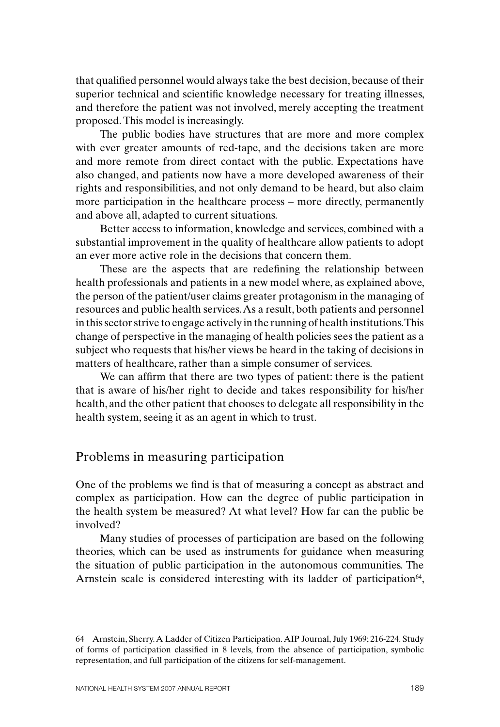that qualified personnel would always take the best decision, because of their superior technical and scientific knowledge necessary for treating illnesses, and therefore the patient was not involved, merely accepting the treatment proposed. This model is increasingly.

The public bodies have structures that are more and more complex with ever greater amounts of red-tape, and the decisions taken are more and more remote from direct contact with the public. Expectations have also changed, and patients now have a more developed awareness of their rights and responsibilities, and not only demand to be heard, but also claim more participation in the healthcare process – more directly, permanently and above all, adapted to current situations.

Better access to information, knowledge and services, combined with a substantial improvement in the quality of healthcare allow patients to adopt an ever more active role in the decisions that concern them.

These are the aspects that are redefining the relationship between health professionals and patients in a new model where, as explained above, the person of the patient/user claims greater protagonism in the managing of resources and public health services. As a result, both patients and personnel in this sector strive to engage actively in the running of health institutions. This change of perspective in the managing of health policies sees the patient as a subject who requests that his/her views be heard in the taking of decisions in matters of healthcare, rather than a simple consumer of services.

We can affirm that there are two types of patient: there is the patient that is aware of his/her right to decide and takes responsibility for his/her health, and the other patient that chooses to delegate all responsibility in the health system, seeing it as an agent in which to trust.

### Problems in measuring participation

One of the problems we find is that of measuring a concept as abstract and complex as participation. How can the degree of public participation in the health system be measured? At what level? How far can the public be involved?

Many studies of processes of participation are based on the following theories, which can be used as instruments for guidance when measuring the situation of public participation in the autonomous communities. The Arnstein scale is considered interesting with its ladder of participation $64$ ,

<sup>64</sup> Arnstein, Sherry. A Ladder of Citizen Participation. AIP Journal, July 1969; 216-224. Study of forms of participation classified in 8 levels, from the absence of participation, symbolic representation, and full participation of the citizens for self-management.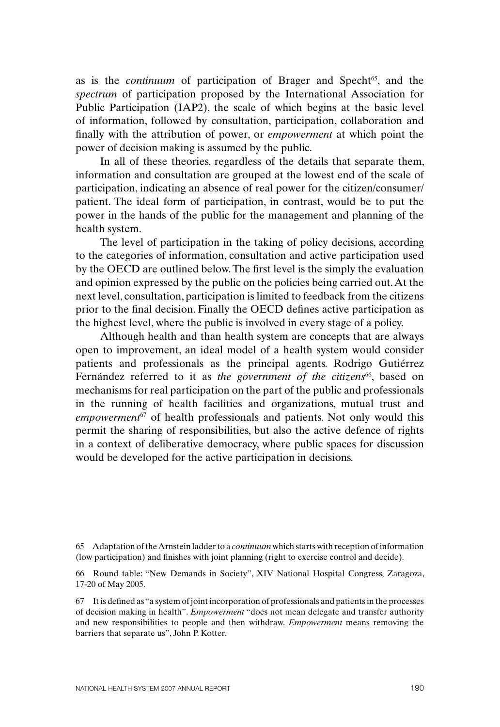as is the *continuum* of participation of Brager and Specht<sup>65</sup>, and the *spectrum* of participation proposed by the International Association for Public Participation (IAP2), the scale of which begins at the basic level of information, followed by consultation, participation, collaboration and finally with the attribution of power, or *empowerment* at which point the power of decision making is assumed by the public.

In all of these theories, regardless of the details that separate them, information and consultation are grouped at the lowest end of the scale of participation, indicating an absence of real power for the citizen/consumer/ patient. The ideal form of participation, in contrast, would be to put the power in the hands of the public for the management and planning of the health system.

The level of participation in the taking of policy decisions, according to the categories of information, consultation and active participation used by the OECD are outlined below.The first level is the simply the evaluation and opinion expressed by the public on the policies being carried out. At the next level, consultation, participation is limited to feedback from the citizens prior to the final decision. Finally the OECD defines active participation as the highest level, where the public is involved in every stage of a policy.

Although health and than health system are concepts that are always open to improvement, an ideal model of a health system would consider patients and professionals as the principal agents. Rodrigo Gutiérrez Fernández referred to it as the government of the citizens<sup>66</sup>, based on mechanisms for real participation on the part of the public and professionals in the running of health facilities and organizations, mutual trust and *empowerment*67 of health professionals and patients. Not only would this permit the sharing of responsibilities, but also the active defence of rights in a context of deliberative democracy, where public spaces for discussion would be developed for the active participation in decisions.

<sup>65</sup> Adaptation of the Arnstein ladder to a *continuum* which starts with reception of information (low participation) and finishes with joint planning (right to exercise control and decide).

<sup>66</sup> Round table: "New Demands in Society", XIV National Hospital Congress, Zaragoza, 17-20 of May 2005.

<sup>67</sup> It is defined as "a system of joint incorporation of professionals and patients in the processes of decision making in health". *Empowerment* "does not mean delegate and transfer authority and new responsibilities to people and then withdraw. *Empowerment* means removing the barriers that separate us", John P. Kotter.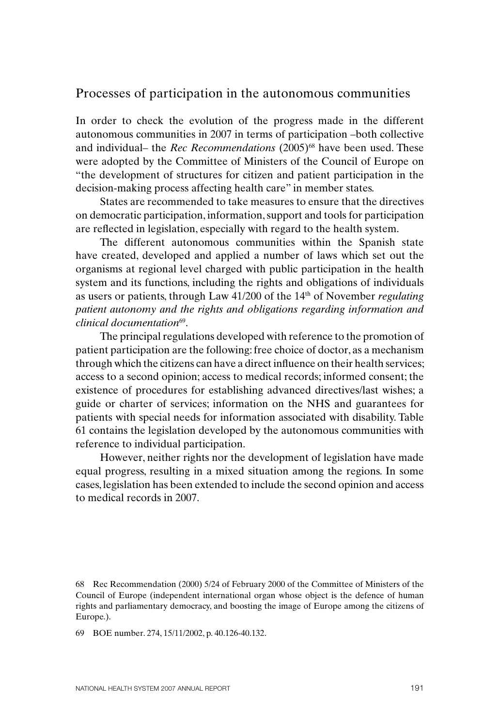#### Processes of participation in the autonomous communities

In order to check the evolution of the progress made in the different autonomous communities in 2007 in terms of participation –both collective and individual– the *Rec Recommendations* (2005)<sup>68</sup> have been used. These were adopted by the Committee of Ministers of the Council of Europe on "the development of structures for citizen and patient participation in the decision-making process affecting health care" in member states.

States are recommended to take measures to ensure that the directives on democratic participation, information, support and tools for participation are reflected in legislation, especially with regard to the health system.

The different autonomous communities within the Spanish state have created, developed and applied a number of laws which set out the organisms at regional level charged with public participation in the health system and its functions, including the rights and obligations of individuals as users or patients, through Law 41/200 of the 14th of November *regulating patient autonomy and the rights and obligations regarding information and clinical documentation*69.

The principal regulations developed with reference to the promotion of patient participation are the following: free choice of doctor, as a mechanism through which the citizens can have a direct influence on their health services; access to a second opinion; access to medical records; informed consent; the existence of procedures for establishing advanced directives/last wishes; a guide or charter of services; information on the NHS and guarantees for patients with special needs for information associated with disability. Table 61 contains the legislation developed by the autonomous communities with reference to individual participation.

However, neither rights nor the development of legislation have made equal progress, resulting in a mixed situation among the regions. In some cases, legislation has been extended to include the second opinion and access to medical records in 2007.

69 BOE number. 274, 15/11/2002, p. 40.126-40.132.

<sup>68</sup> Rec Recommendation (2000) 5/24 of February 2000 of the Committee of Ministers of the Council of Europe (independent international organ whose object is the defence of human rights and parliamentary democracy, and boosting the image of Europe among the citizens of Europe.).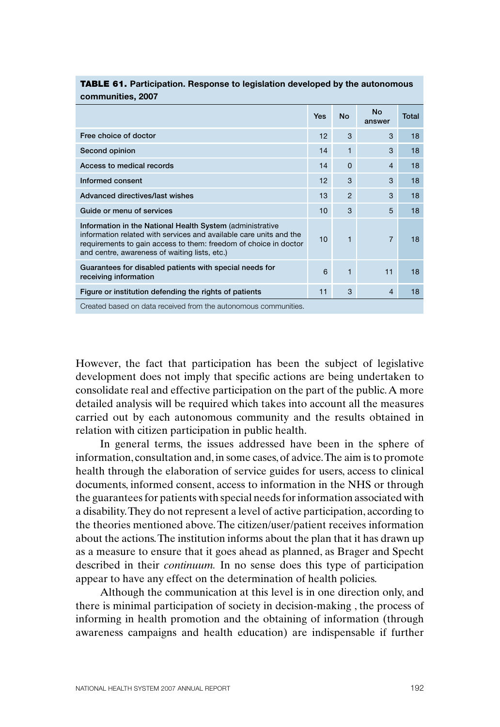| COMMUNICS, ZUUT                                                                                                                                                                                                                                      |     |                |                     |       |
|------------------------------------------------------------------------------------------------------------------------------------------------------------------------------------------------------------------------------------------------------|-----|----------------|---------------------|-------|
|                                                                                                                                                                                                                                                      | Yes | <b>No</b>      | <b>No</b><br>answer | Total |
| Free choice of doctor                                                                                                                                                                                                                                | 12  | 3              | 3                   | 18    |
| Second opinion                                                                                                                                                                                                                                       | 14  | 1              | 3                   | 18    |
| Access to medical records                                                                                                                                                                                                                            | 14  | $\Omega$       | $\overline{4}$      | 18    |
| Informed consent                                                                                                                                                                                                                                     | 12  | 3              | 3                   | 18    |
| Advanced directives/last wishes                                                                                                                                                                                                                      | 13  | $\overline{2}$ | 3                   | 18    |
| Guide or menu of services                                                                                                                                                                                                                            | 10  | 3              | 5                   | 18    |
| Information in the National Health System (administrative<br>information related with services and available care units and the<br>requirements to gain access to them: freedom of choice in doctor<br>and centre, awareness of waiting lists, etc.) | 10  | $\mathbf{1}$   | $\overline{7}$      | 18    |
| Guarantees for disabled patients with special needs for<br>receiving information                                                                                                                                                                     | 6   | 1              | 11                  | 18    |
| Figure or institution defending the rights of patients                                                                                                                                                                                               | 11  | 3              | $\overline{4}$      | 18    |
| Created based on data received from the autonomous communities                                                                                                                                                                                       |     |                |                     |       |

#### TABLE 61. **Participation. Response to legislation developed by the autonomous communities, 2007**

Created based on data received from the autonomous communities.

However, the fact that participation has been the subject of legislative development does not imply that specific actions are being undertaken to consolidate real and effective participation on the part of the public. A more detailed analysis will be required which takes into account all the measures carried out by each autonomous community and the results obtained in relation with citizen participation in public health.

In general terms, the issues addressed have been in the sphere of information, consultation and, in some cases, of advice. The aim is to promote health through the elaboration of service guides for users, access to clinical documents, informed consent, access to information in the NHS or through the guarantees for patients with special needs for information associated with a disability. They do not represent a level of active participation, according to the theories mentioned above. The citizen/user/patient receives information about the actions. The institution informs about the plan that it has drawn up as a measure to ensure that it goes ahead as planned, as Brager and Specht described in their *continuum.* In no sense does this type of participation appear to have any effect on the determination of health policies.

Although the communication at this level is in one direction only, and there is minimal participation of society in decision-making , the process of informing in health promotion and the obtaining of information (through awareness campaigns and health education) are indispensable if further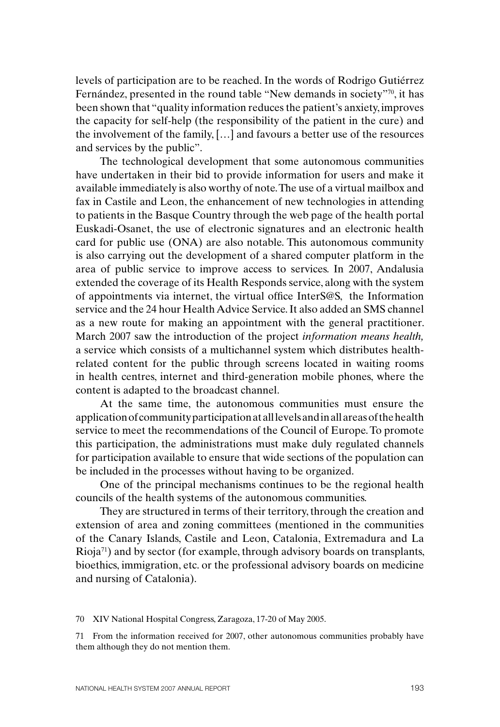levels of participation are to be reached. In the words of Rodrigo Gutiérrez Fernández, presented in the round table "New demands in society"<sup>70</sup>, it has been shown that "quality information reduces the patient's anxiety, improves the capacity for self-help (the responsibility of the patient in the cure) and the involvement of the family, […] and favours a better use of the resources and services by the public".

The technological development that some autonomous communities have undertaken in their bid to provide information for users and make it available immediately is also worthy of note. The use of a virtual mailbox and fax in Castile and Leon, the enhancement of new technologies in attending to patients in the Basque Country through the web page of the health portal Euskadi-Osanet, the use of electronic signatures and an electronic health card for public use (ONA) are also notable. This autonomous community is also carrying out the development of a shared computer platform in the area of public service to improve access to services. In 2007, Andalusia extended the coverage of its Health Responds service, along with the system of appointments via internet, the virtual office InterS@S, the Information service and the 24 hour Health Advice Service. It also added an SMS channel as a new route for making an appointment with the general practitioner. March 2007 saw the introduction of the project *information means health,* a service which consists of a multichannel system which distributes healthrelated content for the public through screens located in waiting rooms in health centres, internet and third-generation mobile phones, where the content is adapted to the broadcast channel.

At the same time, the autonomous communities must ensure the application of community participation at all levels and in all areas of the health service to meet the recommendations of the Council of Europe.To promote this participation, the administrations must make duly regulated channels for participation available to ensure that wide sections of the population can be included in the processes without having to be organized.

One of the principal mechanisms continues to be the regional health councils of the health systems of the autonomous communities.

They are structured in terms of their territory, through the creation and extension of area and zoning committees (mentioned in the communities of the Canary Islands, Castile and Leon, Catalonia, Extremadura and La  $Rioja<sup>71</sup>$  and by sector (for example, through advisory boards on transplants, bioethics, immigration, etc. or the professional advisory boards on medicine and nursing of Catalonia).

70 XIV National Hospital Congress, Zaragoza, 17-20 of May 2005.

<sup>71</sup> From the information received for 2007, other autonomous communities probably have them although they do not mention them.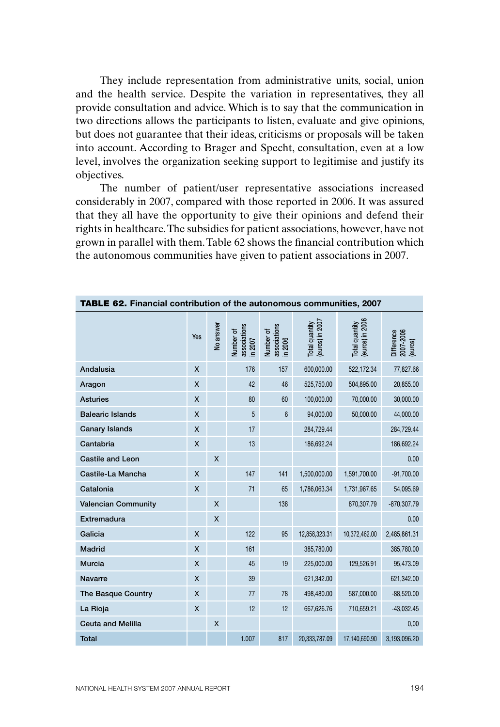They include representation from administrative units, social, union and the health service. Despite the variation in representatives, they all provide consultation and advice. Which is to say that the communication in two directions allows the participants to listen, evaluate and give opinions, but does not guarantee that their ideas, criticisms or proposals will be taken into account. According to Brager and Specht, consultation, even at a low level, involves the organization seeking support to legitimise and justify its objectives.

The number of patient/user representative associations increased considerably in 2007, compared with those reported in 2006. It was assured that they all have the opportunity to give their opinions and defend their rights in healthcare. The subsidies for patient associations, however, have not grown in parallel with them. Table 62 shows the financial contribution which the autonomous communities have given to patient associations in 2007.

| <b>TABLE 62.</b> Financial contribution of the autonomous communities, 2007 |     |           |                                      |                                      |                                   |                                   |                                    |  |  |  |
|-----------------------------------------------------------------------------|-----|-----------|--------------------------------------|--------------------------------------|-----------------------------------|-----------------------------------|------------------------------------|--|--|--|
|                                                                             | Yes | No answer | associations<br>Number of<br>in 2007 | associations<br>in 2006<br>Number of | Total quantity<br>(euros) in 2007 | Total quantity<br>(euros) in 2006 | Difference<br>2007-2006<br>(euros) |  |  |  |
| Andalusia                                                                   | X   |           | 176                                  | 157                                  | 600,000.00                        | 522,172.34                        | 77,827.66                          |  |  |  |
| Aragon                                                                      | X   |           | 42                                   | 46                                   | 525,750.00                        | 504,895.00                        | 20,855.00                          |  |  |  |
| <b>Asturies</b>                                                             | X   |           | 80                                   | 60                                   | 100,000.00                        | 70,000.00                         | 30,000.00                          |  |  |  |
| <b>Balearic Islands</b>                                                     | X   |           | 5                                    | $6\phantom{1}$                       | 94,000.00                         | 50,000.00                         | 44,000.00                          |  |  |  |
| <b>Canary Islands</b>                                                       | X   |           | 17                                   |                                      | 284,729.44                        |                                   | 284,729.44                         |  |  |  |
| Cantabria                                                                   | X   |           | 13                                   |                                      | 186,692.24                        |                                   | 186,692.24                         |  |  |  |
| <b>Castile and Leon</b>                                                     |     | X         |                                      |                                      |                                   |                                   | 0.00                               |  |  |  |
| Castile-La Mancha                                                           | X   |           | 147                                  | 141                                  | 1,500,000.00                      | 1,591,700.00                      | $-91,700.00$                       |  |  |  |
| Catalonia                                                                   | X   |           | 71                                   | 65                                   | 1,786,063.34                      | 1,731,967.65                      | 54,095.69                          |  |  |  |
| <b>Valencian Community</b>                                                  |     | X         |                                      | 138                                  |                                   | 870,307.79                        | $-870,307.79$                      |  |  |  |
| Extremadura                                                                 |     | X         |                                      |                                      |                                   |                                   | 0.00                               |  |  |  |
| Galicia                                                                     | X   |           | 122                                  | 95                                   | 12,858,323.31                     | 10,372,462.00                     | 2,485,861.31                       |  |  |  |
| <b>Madrid</b>                                                               | X   |           | 161                                  |                                      | 385,780.00                        |                                   | 385,780.00                         |  |  |  |
| <b>Murcia</b>                                                               | X   |           | 45                                   | 19                                   | 225,000.00                        | 129,526.91                        | 95,473.09                          |  |  |  |
| <b>Navarre</b>                                                              | X   |           | 39                                   |                                      | 621,342.00                        |                                   | 621,342.00                         |  |  |  |
| The Basque Country                                                          | X   |           | 77                                   | 78                                   | 498,480.00                        | 587,000.00                        | $-88,520.00$                       |  |  |  |
| La Rioja                                                                    | X   |           | 12                                   | 12                                   | 667,626.76                        | 710,659.21                        | $-43,032.45$                       |  |  |  |
| <b>Ceuta and Melilla</b>                                                    |     | X         |                                      |                                      |                                   |                                   | 0,00                               |  |  |  |
| <b>Total</b>                                                                |     |           | 1.007                                | 817                                  | 20,333,787.09                     | 17,140,690.90                     | 3,193,096.20                       |  |  |  |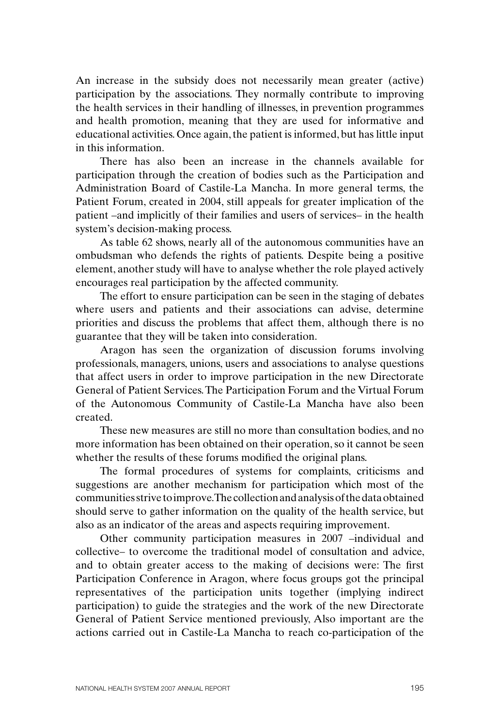An increase in the subsidy does not necessarily mean greater (active) participation by the associations. They normally contribute to improving the health services in their handling of illnesses, in prevention programmes and health promotion, meaning that they are used for informative and educational activities. Once again, the patient is informed, but has little input in this information.

There has also been an increase in the channels available for participation through the creation of bodies such as the Participation and Administration Board of Castile-La Mancha. In more general terms, the Patient Forum, created in 2004, still appeals for greater implication of the patient –and implicitly of their families and users of services– in the health system's decision-making process.

As table 62 shows, nearly all of the autonomous communities have an ombudsman who defends the rights of patients. Despite being a positive element, another study will have to analyse whether the role played actively encourages real participation by the affected community.

The effort to ensure participation can be seen in the staging of debates where users and patients and their associations can advise, determine priorities and discuss the problems that affect them, although there is no guarantee that they will be taken into consideration.

Aragon has seen the organization of discussion forums involving professionals, managers, unions, users and associations to analyse questions that affect users in order to improve participation in the new Directorate General of Patient Services. The Participation Forum and the Virtual Forum of the Autonomous Community of Castile-La Mancha have also been created.

These new measures are still no more than consultation bodies, and no more information has been obtained on their operation, so it cannot be seen whether the results of these forums modified the original plans.

The formal procedures of systems for complaints, criticisms and suggestions are another mechanism for participation which most of the communities strive to improve. The collection and analysis of the data obtained should serve to gather information on the quality of the health service, but also as an indicator of the areas and aspects requiring improvement.

Other community participation measures in 2007 –individual and collective– to overcome the traditional model of consultation and advice, and to obtain greater access to the making of decisions were: The first Participation Conference in Aragon, where focus groups got the principal representatives of the participation units together (implying indirect participation) to guide the strategies and the work of the new Directorate General of Patient Service mentioned previously, Also important are the actions carried out in Castile-La Mancha to reach co-participation of the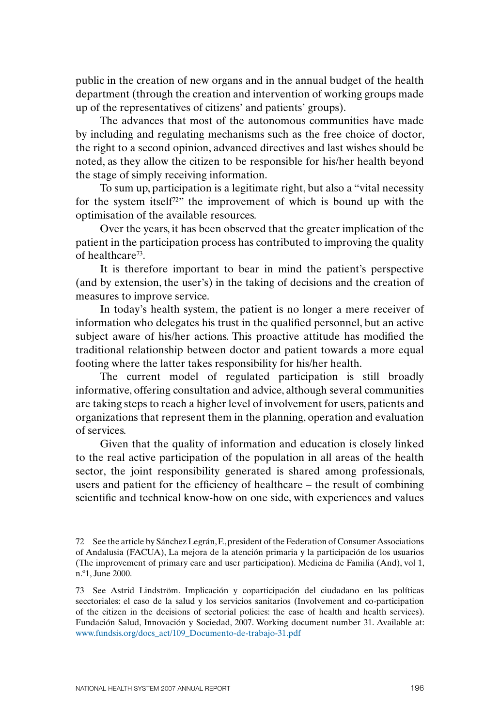public in the creation of new organs and in the annual budget of the health department (through the creation and intervention of working groups made up of the representatives of citizens' and patients' groups).

The advances that most of the autonomous communities have made by including and regulating mechanisms such as the free choice of doctor, the right to a second opinion, advanced directives and last wishes should be noted, as they allow the citizen to be responsible for his/her health beyond the stage of simply receiving information.

To sum up, participation is a legitimate right, but also a "vital necessity for the system itself72" the improvement of which is bound up with the optimisation of the available resources.

Over the years, it has been observed that the greater implication of the patient in the participation process has contributed to improving the quality of healthcare73.

It is therefore important to bear in mind the patient's perspective (and by extension, the user's) in the taking of decisions and the creation of measures to improve service.

In today's health system, the patient is no longer a mere receiver of information who delegates his trust in the qualified personnel, but an active subject aware of his/her actions. This proactive attitude has modified the traditional relationship between doctor and patient towards a more equal footing where the latter takes responsibility for his/her health.

The current model of regulated participation is still broadly informative, offering consultation and advice, although several communities are taking steps to reach a higher level of involvement for users, patients and organizations that represent them in the planning, operation and evaluation of services.

Given that the quality of information and education is closely linked to the real active participation of the population in all areas of the health sector, the joint responsibility generated is shared among professionals, users and patient for the efficiency of healthcare – the result of combining scientific and technical know-how on one side, with experiences and values

<sup>72</sup> See the article by Sánchez Legrán, F., president of the Federation of Consumer Associations of Andalusia (FACUA), La mejora de la atención primaria y la participación de los usuarios (The improvement of primary care and user participation). Medicina de Familia (And), vol 1, n.º1, June 2000.

<sup>73</sup> See Astrid Lindström. Implicación y coparticipación del ciudadano en las políticas secctoriales: el caso de la salud y los servicios sanitarios (Involvement and co-participation of the citizen in the decisions of sectorial policies: the case of health and health services). Fundación Salud, Innovación y Sociedad, 2007. Working document number 31. Available at: www.fundsis.org/docs\_act/109\_Documento-de-trabajo-31.pdf